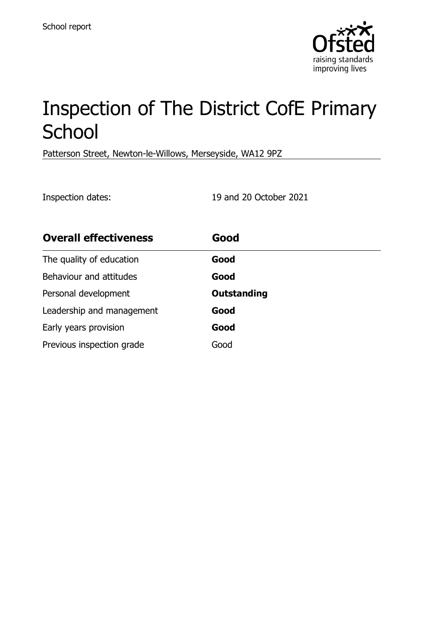

# Inspection of The District CofE Primary School

Patterson Street, Newton-le-Willows, Merseyside, WA12 9PZ

Inspection dates: 19 and 20 October 2021

| <b>Overall effectiveness</b> | Good               |
|------------------------------|--------------------|
| The quality of education     | Good               |
| Behaviour and attitudes      | Good               |
| Personal development         | <b>Outstanding</b> |
| Leadership and management    | Good               |
| Early years provision        | Good               |
| Previous inspection grade    | Good               |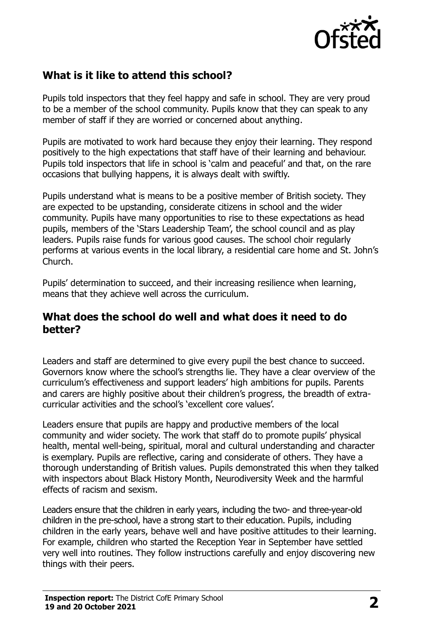

# **What is it like to attend this school?**

Pupils told inspectors that they feel happy and safe in school. They are very proud to be a member of the school community. Pupils know that they can speak to any member of staff if they are worried or concerned about anything.

Pupils are motivated to work hard because they enjoy their learning. They respond positively to the high expectations that staff have of their learning and behaviour. Pupils told inspectors that life in school is 'calm and peaceful' and that, on the rare occasions that bullying happens, it is always dealt with swiftly.

Pupils understand what is means to be a positive member of British society. They are expected to be upstanding, considerate citizens in school and the wider community. Pupils have many opportunities to rise to these expectations as head pupils, members of the 'Stars Leadership Team', the school council and as play leaders. Pupils raise funds for various good causes. The school choir regularly performs at various events in the local library, a residential care home and St. John's Church.

Pupils' determination to succeed, and their increasing resilience when learning, means that they achieve well across the curriculum.

#### **What does the school do well and what does it need to do better?**

Leaders and staff are determined to give every pupil the best chance to succeed. Governors know where the school's strengths lie. They have a clear overview of the curriculum's effectiveness and support leaders' high ambitions for pupils. Parents and carers are highly positive about their children's progress, the breadth of extracurricular activities and the school's 'excellent core values'.

Leaders ensure that pupils are happy and productive members of the local community and wider society. The work that staff do to promote pupils' physical health, mental well-being, spiritual, moral and cultural understanding and character is exemplary. Pupils are reflective, caring and considerate of others. They have a thorough understanding of British values. Pupils demonstrated this when they talked with inspectors about Black History Month, Neurodiversity Week and the harmful effects of racism and sexism.

Leaders ensure that the children in early years, including the two- and three-year-old children in the pre-school, have a strong start to their education. Pupils, including children in the early years, behave well and have positive attitudes to their learning. For example, children who started the Reception Year in September have settled very well into routines. They follow instructions carefully and enjoy discovering new things with their peers.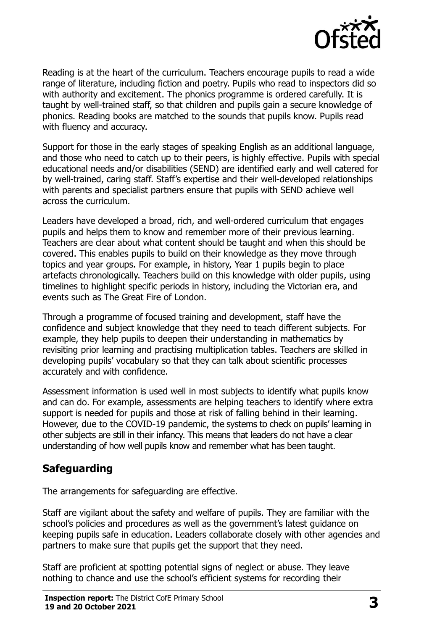

Reading is at the heart of the curriculum. Teachers encourage pupils to read a wide range of literature, including fiction and poetry. Pupils who read to inspectors did so with authority and excitement. The phonics programme is ordered carefully. It is taught by well-trained staff, so that children and pupils gain a secure knowledge of phonics. Reading books are matched to the sounds that pupils know. Pupils read with fluency and accuracy.

Support for those in the early stages of speaking English as an additional language, and those who need to catch up to their peers, is highly effective. Pupils with special educational needs and/or disabilities (SEND) are identified early and well catered for by well-trained, caring staff. Staff's expertise and their well-developed relationships with parents and specialist partners ensure that pupils with SEND achieve well across the curriculum.

Leaders have developed a broad, rich, and well-ordered curriculum that engages pupils and helps them to know and remember more of their previous learning. Teachers are clear about what content should be taught and when this should be covered. This enables pupils to build on their knowledge as they move through topics and year groups. For example, in history, Year 1 pupils begin to place artefacts chronologically. Teachers build on this knowledge with older pupils, using timelines to highlight specific periods in history, including the Victorian era, and events such as The Great Fire of London.

Through a programme of focused training and development, staff have the confidence and subject knowledge that they need to teach different subjects. For example, they help pupils to deepen their understanding in mathematics by revisiting prior learning and practising multiplication tables. Teachers are skilled in developing pupils' vocabulary so that they can talk about scientific processes accurately and with confidence.

Assessment information is used well in most subjects to identify what pupils know and can do. For example, assessments are helping teachers to identify where extra support is needed for pupils and those at risk of falling behind in their learning. However, due to the COVID-19 pandemic, the systems to check on pupils' learning in other subjects are still in their infancy. This means that leaders do not have a clear understanding of how well pupils know and remember what has been taught.

# **Safeguarding**

The arrangements for safeguarding are effective.

Staff are vigilant about the safety and welfare of pupils. They are familiar with the school's policies and procedures as well as the government's latest guidance on keeping pupils safe in education. Leaders collaborate closely with other agencies and partners to make sure that pupils get the support that they need.

Staff are proficient at spotting potential signs of neglect or abuse. They leave nothing to chance and use the school's efficient systems for recording their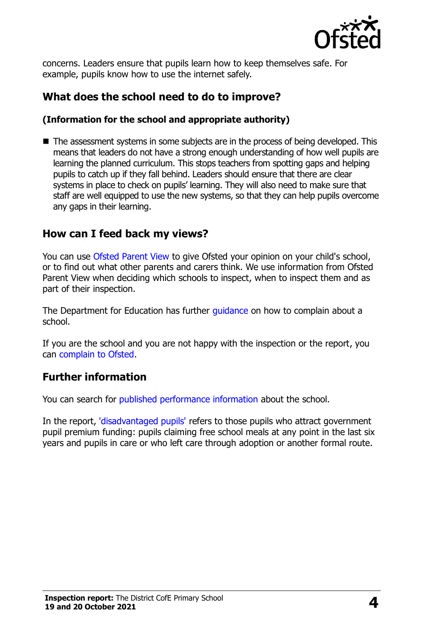

concerns. Leaders ensure that pupils learn how to keep themselves safe. For example, pupils know how to use the internet safely.

# **What does the school need to do to improve?**

#### **(Information for the school and appropriate authority)**

■ The assessment systems in some subjects are in the process of being developed. This means that leaders do not have a strong enough understanding of how well pupils are learning the planned curriculum. This stops teachers from spotting gaps and helping pupils to catch up if they fall behind. Leaders should ensure that there are clear systems in place to check on pupils' learning. They will also need to make sure that staff are well equipped to use the new systems, so that they can help pupils overcome any gaps in their learning.

### **How can I feed back my views?**

You can use [Ofsted Parent View](http://parentview.ofsted.gov.uk/) to give Ofsted your opinion on your child's school, or to find out what other parents and carers think. We use information from Ofsted Parent View when deciding which schools to inspect, when to inspect them and as part of their inspection.

The Department for Education has further quidance on how to complain about a school.

If you are the school and you are not happy with the inspection or the report, you can [complain to Ofsted.](http://www.gov.uk/complain-ofsted-report)

# **Further information**

You can search for [published performance information](http://www.compare-school-performance.service.gov.uk/) about the school.

In the report, ['disadvantaged pupils'](http://www.gov.uk/guidance/pupil-premium-information-for-schools-and-alternative-provision-settings) refers to those pupils who attract government pupil premium funding: pupils claiming free school meals at any point in the last six years and pupils in care or who left care through adoption or another formal route.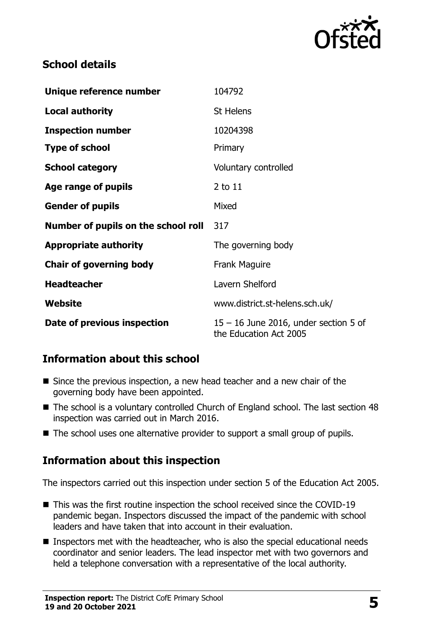

## **School details**

| Unique reference number             | 104792                                                            |  |
|-------------------------------------|-------------------------------------------------------------------|--|
| <b>Local authority</b>              | St Helens                                                         |  |
| <b>Inspection number</b>            | 10204398                                                          |  |
| <b>Type of school</b>               | Primary                                                           |  |
| <b>School category</b>              | Voluntary controlled                                              |  |
| Age range of pupils                 | 2 to 11                                                           |  |
| <b>Gender of pupils</b>             | Mixed                                                             |  |
| Number of pupils on the school roll | 317                                                               |  |
| <b>Appropriate authority</b>        | The governing body                                                |  |
| <b>Chair of governing body</b>      | <b>Frank Maguire</b>                                              |  |
| <b>Headteacher</b>                  | Lavern Shelford                                                   |  |
| Website                             | www.district.st-helens.sch.uk/                                    |  |
| Date of previous inspection         | $15 - 16$ June 2016, under section 5 of<br>the Education Act 2005 |  |

# **Information about this school**

- Since the previous inspection, a new head teacher and a new chair of the governing body have been appointed.
- The school is a voluntary controlled Church of England school. The last section 48 inspection was carried out in March 2016.
- The school uses one alternative provider to support a small group of pupils.

# **Information about this inspection**

The inspectors carried out this inspection under section 5 of the Education Act 2005.

- This was the first routine inspection the school received since the COVID-19 pandemic began. Inspectors discussed the impact of the pandemic with school leaders and have taken that into account in their evaluation.
- Inspectors met with the headteacher, who is also the special educational needs coordinator and senior leaders. The lead inspector met with two governors and held a telephone conversation with a representative of the local authority.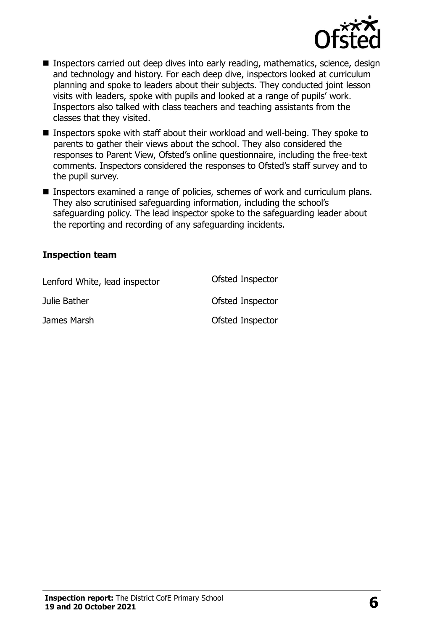

- Inspectors carried out deep dives into early reading, mathematics, science, design and technology and history. For each deep dive, inspectors looked at curriculum planning and spoke to leaders about their subjects. They conducted joint lesson visits with leaders, spoke with pupils and looked at a range of pupils' work. Inspectors also talked with class teachers and teaching assistants from the classes that they visited.
- Inspectors spoke with staff about their workload and well-being. They spoke to parents to gather their views about the school. They also considered the responses to Parent View, Ofsted's online questionnaire, including the free-text comments. Inspectors considered the responses to Ofsted's staff survey and to the pupil survey.
- Inspectors examined a range of policies, schemes of work and curriculum plans. They also scrutinised safeguarding information, including the school's safeguarding policy. The lead inspector spoke to the safeguarding leader about the reporting and recording of any safeguarding incidents.

#### **Inspection team**

| Lenford White, lead inspector | Ofsted Inspector |
|-------------------------------|------------------|
| Julie Bather                  | Ofsted Inspector |
| James Marsh                   | Ofsted Inspector |